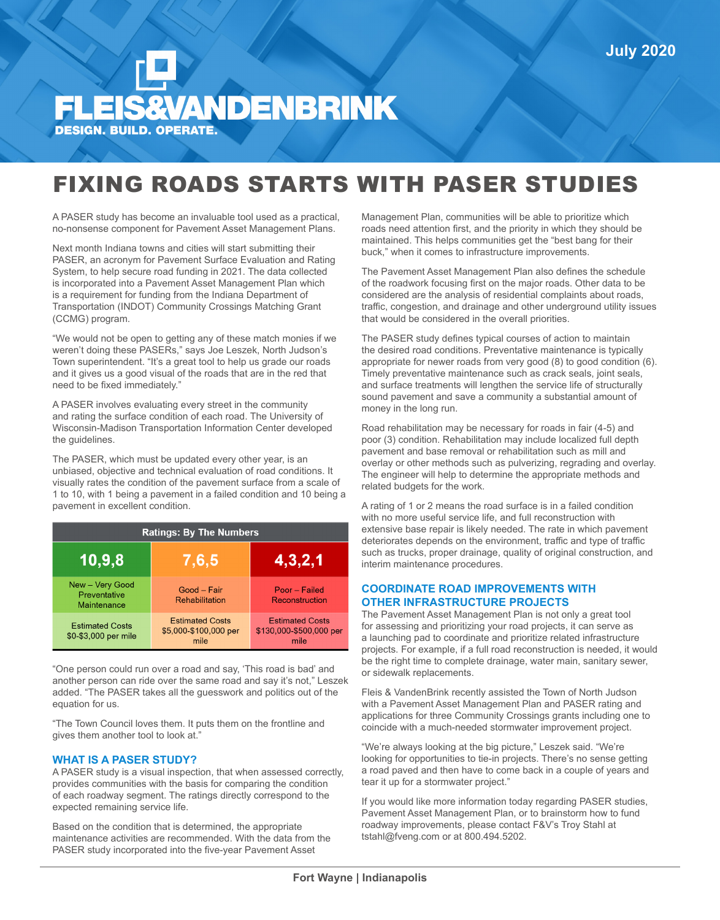# **EIS&VANDENBRINK DESIGN. BUILD. OPERATE.**

## FIXING ROADS STARTS WITH PASER STUDIES

A PASER study has become an invaluable tool used as a practical, no-nonsense component for Pavement Asset Management Plans.

Next month Indiana towns and cities will start submitting their PASER, an acronym for Pavement Surface Evaluation and Rating System, to help secure road funding in 2021. The data collected is incorporated into a Pavement Asset Management Plan which is a requirement for funding from the Indiana Department of Transportation (INDOT) Community Crossings Matching Grant (CCMG) program.

"We would not be open to getting any of these match monies if we weren't doing these PASERs," says Joe Leszek, North Judson's Town superintendent. "It's a great tool to help us grade our roads and it gives us a good visual of the roads that are in the red that need to be fixed immediately."

A PASER involves evaluating every street in the community and rating the surface condition of each road. The University of Wisconsin-Madison Transportation Information Center developed the guidelines.

The PASER, which must be updated every other year, is an unbiased, objective and technical evaluation of road conditions. It visually rates the condition of the pavement surface from a scale of 1 to 10, with 1 being a pavement in a failed condition and 10 being a pavement in excellent condition.

| <b>Ratings: By The Numbers</b>                 |                                                         |                                                           |  |
|------------------------------------------------|---------------------------------------------------------|-----------------------------------------------------------|--|
| 10,9,8                                         | 7,6,5                                                   | 4,3,2,1                                                   |  |
| New - Very Good<br>Preventative<br>Maintenance | Good - Fair<br><b>Rehabilitation</b>                    | Poor - Failed<br>Reconstruction                           |  |
| <b>Estimated Costs</b><br>\$0-\$3,000 per mile | <b>Estimated Costs</b><br>\$5,000-\$100,000 per<br>mile | <b>Estimated Costs</b><br>\$130,000-\$500,000 per<br>mile |  |

"One person could run over a road and say, 'This road is bad' and another person can ride over the same road and say it's not," Leszek added. "The PASER takes all the guesswork and politics out of the equation for us.

"The Town Council loves them. It puts them on the frontline and gives them another tool to look at."

#### **WHAT IS A PASER STUDY?**

A PASER study is a visual inspection, that when assessed correctly, provides communities with the basis for comparing the condition of each roadway segment. The ratings directly correspond to the expected remaining service life.

Based on the condition that is determined, the appropriate maintenance activities are recommended. With the data from the PASER study incorporated into the five-year Pavement Asset

Management Plan, communities will be able to prioritize which roads need attention first, and the priority in which they should be maintained. This helps communities get the "best bang for their buck," when it comes to infrastructure improvements.

The Pavement Asset Management Plan also defines the schedule of the roadwork focusing first on the major roads. Other data to be considered are the analysis of residential complaints about roads, traffic, congestion, and drainage and other underground utility issues that would be considered in the overall priorities.

The PASER study defines typical courses of action to maintain the desired road conditions. Preventative maintenance is typically appropriate for newer roads from very good (8) to good condition (6). Timely preventative maintenance such as crack seals, joint seals, and surface treatments will lengthen the service life of structurally sound pavement and save a community a substantial amount of money in the long run.

Road rehabilitation may be necessary for roads in fair (4-5) and poor (3) condition. Rehabilitation may include localized full depth pavement and base removal or rehabilitation such as mill and overlay or other methods such as pulverizing, regrading and overlay. The engineer will help to determine the appropriate methods and related budgets for the work.

A rating of 1 or 2 means the road surface is in a failed condition with no more useful service life, and full reconstruction with extensive base repair is likely needed. The rate in which pavement deteriorates depends on the environment, traffic and type of traffic such as trucks, proper drainage, quality of original construction, and interim maintenance procedures.

#### **COORDINATE ROAD IMPROVEMENTS WITH OTHER INFRASTRUCTURE PROJECTS**

The Pavement Asset Management Plan is not only a great tool for assessing and prioritizing your road projects, it can serve as a launching pad to coordinate and prioritize related infrastructure projects. For example, if a full road reconstruction is needed, it would be the right time to complete drainage, water main, sanitary sewer, or sidewalk replacements.

Fleis & VandenBrink recently assisted the Town of North Judson with a Pavement Asset Management Plan and PASER rating and applications for three Community Crossings grants including one to coincide with a much-needed stormwater improvement project.

"We're always looking at the big picture," Leszek said. "We're looking for opportunities to tie-in projects. There's no sense getting a road paved and then have to come back in a couple of years and tear it up for a stormwater project."

If you would like more information today regarding PASER studies, Pavement Asset Management Plan, or to brainstorm how to fund roadway improvements, please contact F&V's Troy Stahl at tstahl@fveng.com or at 800.494.5202.